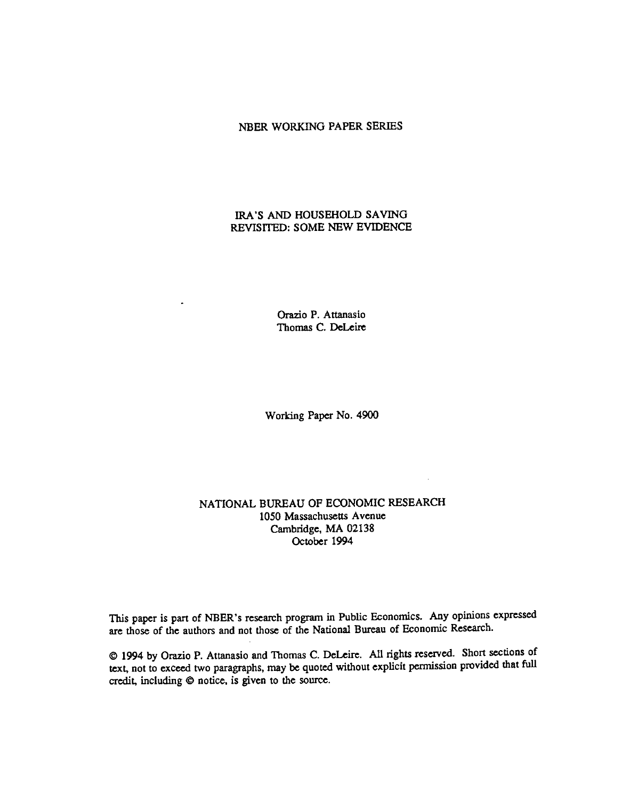### NBER WORKING PAPER SERIES

# IRA'S AND HOUSEHOLD SAVING REVISITED: SOME NEW EVIDENCE

Orazio P. Attanasio Thomas C. DeLeire

Working Paper No. 4900

# NATIONAL BUREAU OF ECONOMIC RESEARCH 1050 Massachusetts Avenue Cambridge, MA 02138 October 1994

This paper is part of NBER's research program in Public Economics. Any opinions expressed are those of the authors and not those of the National Bureau of Economic Research.

@ 1994 by Orazio P. Attanasio and Thomas C. DeLeire. All rights reserved. Short sections of text, not to exceed two paragraphs, may be quoted without explicit permission provided that full credit, including © notice, is given to the source.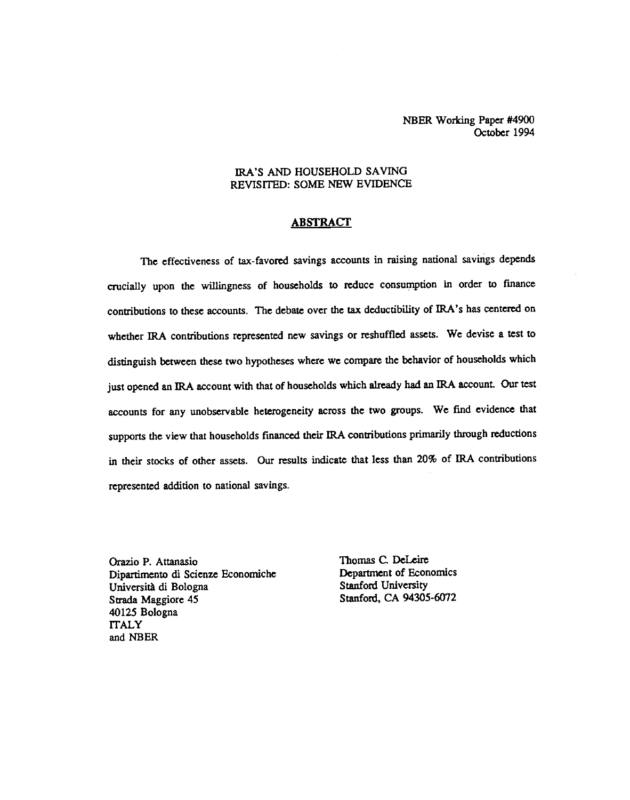NBER Working Paper #4900 October 1994

### IRA'S AND HOUSEHOLD SAVING REVISITED: SOME NEW EVIDENCE

# **ABSTRACT**

The effectiveness of tax-favored savings accounts in raising national savings depends crucially upon the willingness of households to reduce consumption in order to fmance contributions to these accounts. The debate over the tax deductibility of IRA's has centered on whether IRA contributions represented new savings or reshuffled assets. We devise a test to distinguish between these two hypotheses where we compare the behavior of households which just opened an IRA account with that of households which already had an IRA account. Our test accounts for any unobservable heterogeneity across the two groups. We find evidence that supports the view that households financed their IRA contributions primarily through reductions in their stocks of other assets. Our results indicate that less than 20% of IRA contributions represented addition to national savings.

Orazio P. Attanasio Thomas C. DeLeire<br>
Dipartimento di Scienze Economiche Department of Economics Dipartimento di Scienze Economiche<br>
Università di Bologna<br>
Stanford University Università di Bologna Strada Maggiore 45 Stanford, CA 94305-6072 40125 Bologna **ITALY** and NBER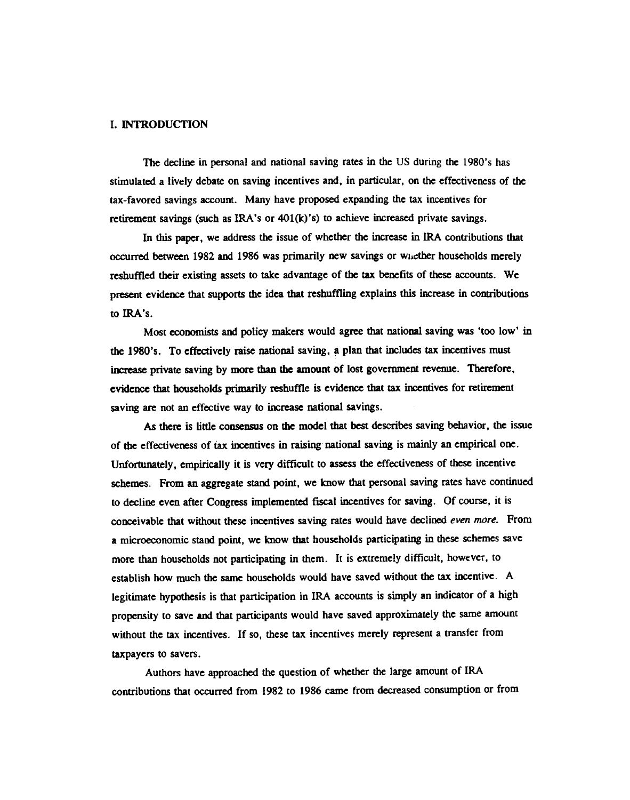### I. INTRODUCTION

The decline in personal and national saving rates in the US during the 1980's has stimulated a lively debate on saving incentives and, in particular, on the effectiveness of the tax-favored savings account. Many have proposed expanding the tax incentives for retirement savings (such as IRA's or 401(k)'s) to achieve increased private savings.

In this paper, we address the issue of whether the increase in IRA contributions that occurred between 1982 and 1986 was primarily new savings or wiaether households merely reshuffled their existing assets to take advantage of the tax benefits of these accounts. We present evidence that supports the idea that reshuffling explains this increase in contributions to IRA's.

Most economists and policy makers would agree that national saving was 'too low' in the 1980's. To effectively raise national saving, a plan that includes tax incentives must increase private saving by more than the amount of lost government revenue. Therefore, evidence that households primarily reshuffle is evidence that tax incentives for retirement saving are not an effective way to increase national savings.

As there is little consensus on the model that best describes saving behavior, the issue of the effectiveness of tax incentives in raising national saving is mainly an empiricalone. Unfortunately, empirically it is vety difficult to assess the effectiveness of these incentive schemes. From an aggregate stand point, we know that personal saving rates have continued to decline even after Congress implemented fiscal incentives for saving. Of course, it is conceivable that without these incentives saving rates would have declined even more. From a microeconomic stand point, we know that households participating in these schemes save more than households not participating in them. It is extremely difficult, however, to establish how much the same households would have saved without the tax incentive. A legitimate hypothesis is that participation in IRA accounts is simply an indicator of a high propensity to save and that participants would have saved approximately the same amount without the tax incentives. If so, these tax incentives merely represent a transfer from taxpayers to savers.

Authors have approached the question of whether the large amount of IRA contributions that occurred from 1982 to 1986 came from decreased consumption or from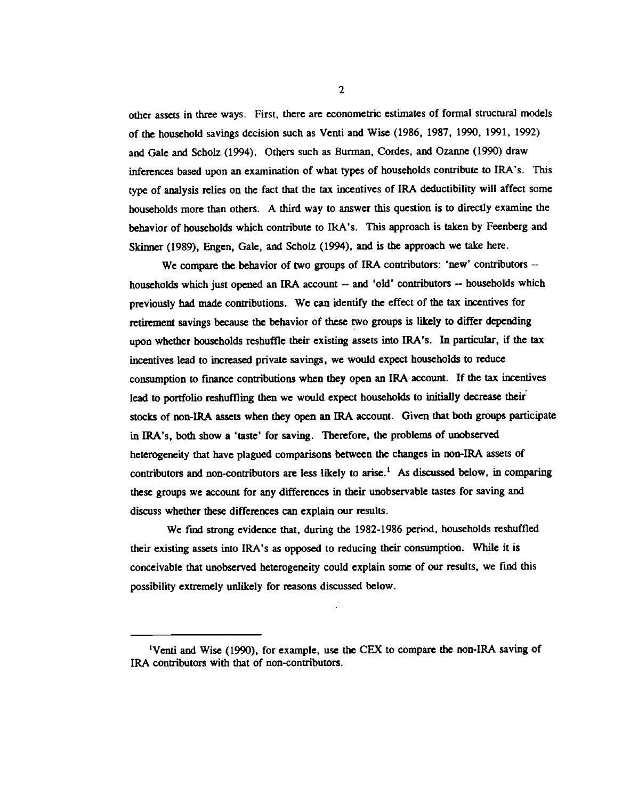other assets in three ways. First, there are econometric estimates of formal structural models of the household savings decision such as Venti and Wise (1986, 1987, 1990, 1991, 1992) and Gale and Scholz (1994). Others such as Burman, Cordes, and Ozanne (1990) draw inferences based upon an examination of what types of households contribute to IRA's. This type of analysis relies on the fact that the tax incentives of IRA deductibility will affect some households more than others. A third way to answer this question is to directly examine the behavior of households which contribute to IRA's. This approach is taken by Feenberg and Skinner (1989), Engen, Gale, and Scholz (1994), and is the approach we take here.

We compare the behavior of two groups of IRA contributors: 'new' contributors -households which just opened an IRA account — and 'old' contributors — households which previously had made contributions. We can identify the effect of the tax incentives for retirement savings because the behavior of these two groups is Likely to differ depending upon whether households reshuffle their existing assets into IRA's. In particular, if the tax incentives lead to increased private savings, we would expect households to reduce consumption to finance contributions when they open an IRA account. If the tax incentives lead to portfolio reshuffling then we would expect households to initially decrease their stocks of non-IRA assets when they open an IRA account. Given that both groups participate in IRA's, both show a 'taste' for saving. Therefore, the problems of unobserved heterogeneity that have plagued comparisons between the changes in non-IRA assets of contributors and non-contributors are less likely to arise.' As discussed below, in comparing these groups we account for any differences in their unobservable tastes for saving and discuss whether these differences can explain our results.

We find strong evidence that, during the 1982-1986 period, households reshuffled their existing assets into IRA's as opposed to reducing their consumption. While it is conceivable that unobserved heterogeneity could explain some of our results, we find this possibility extremely unlikely for reasons discussed below.

<sup>&#</sup>x27;Venti and Wise (1990), for example, use the CEX to compare the non-IRA saving of IRA contributors with that of non-contributors.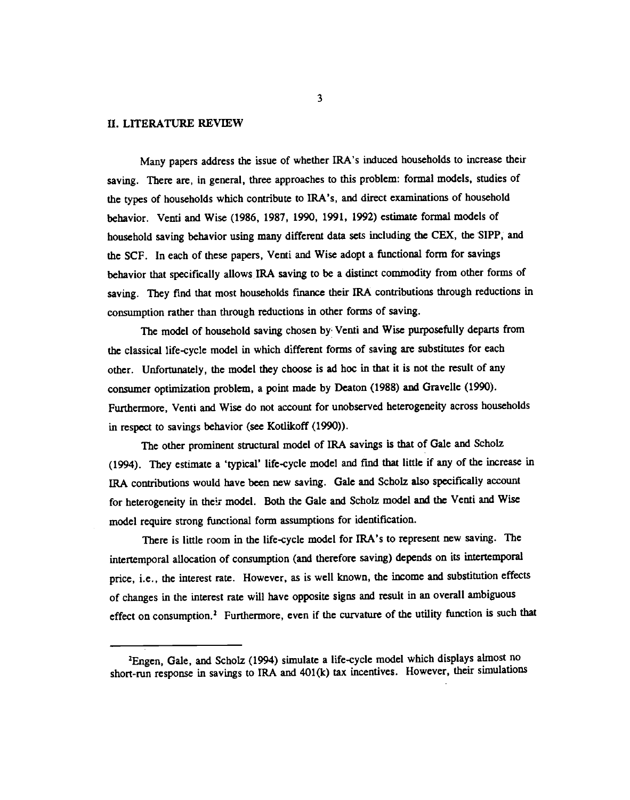## II. LITERATURE REVIEW

Many papers address the issue of whether IRA's induced households to increase their saving. There are, in general, three approaches to this problem: formal models, studies of the types of households which contribute to IRA's, and direct examinations of household behavior. Venti and Wise (1986, 1987, 1990, 1991, 1992) estimate formal models of household saving behavior using many different data sets including the CEX. the SIPP, and the SCF. In each of these papers, Venti and Wise adopt a functional form for savings behavior that specifically allows IRA saving to be a distinct commodity from other forms of saving. They find that most households finance their IRA contributions through reductions in consumption rather than through reductions in other forms of saving.

The model of household saving chosen by' Venti and Wise purposefully departs from the classical life-cycle model in which different forms of saving are substitutes for each other. Unfortunately, the model they choose is ad hoc in that it is not the result of any consumer optimization problem, a point made by Deaton (1988) and Gravelle (1990). Furthermore, Venti and Wise do not account for unobserved heterogeneity across households in respect to savings behavior (see Kotlikoff (1990)).

The other prominent structural model of IRA savings is that of Gale and Scholz (1994). They estiniate a 'typical' life-cycle model and find that little if any of the increase in IRA contributions would have been new saving. Gale and Scholz also specifically account for heterogeneity in their model. Both the Gale and Scholz model and the Venti and Wise model require strong functional form assumptions for identification.

There is little room in the life-cycle model for IRA's to represent new saving. The intertemporal allocation of consumption (and therefore saving) depends on its intertemporal price, i.e., the interest rate. However, as is well known, the income and substitution effects of changes in the interest rate will have opposite signs and result in an overall ambiguous effect on consumption.2 Furthermore, even if the curvature of the utility function is such that

<sup>&</sup>lt;sup>2</sup>Engen, Gale, and Scholz (1994) simulate a life-cycle model which displays almost no short-mn response in savings to IRA and 401(k) tax incentives. However, their simulations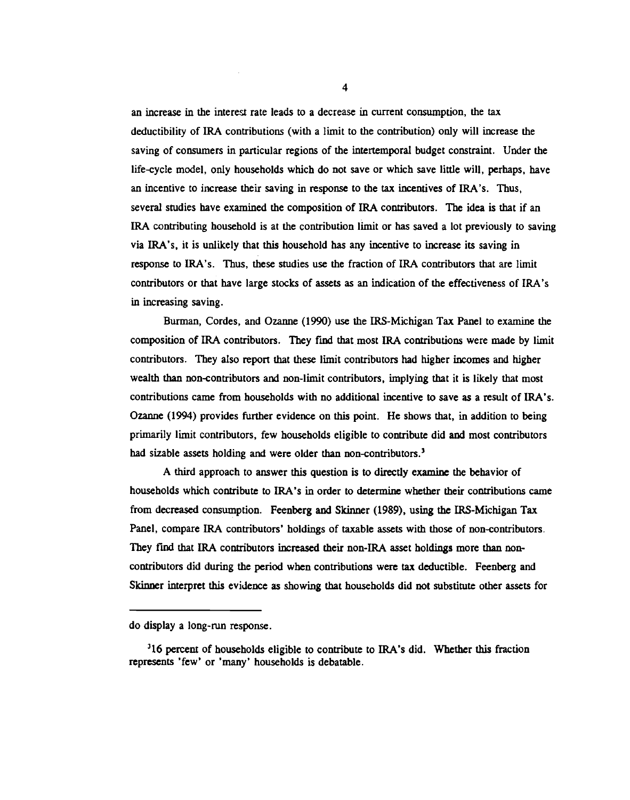an increase in the interest rate leads to a decrease in current consumption, the tax deductibility of IRA contributions (with a limit to the contribution) only will increase the saving of consumers in particular regions of the intertemporal budget constraint. Under the life-cycle model, only households which do not save or which save little will, perhaps, have an incentive to increase their saving in response to the tax incentives of IRA's. Thus, several studies have examined the composition of IRA contributors. The idea is that if an IRA contributing household is at the contribution limit or has saved a lot previously to saving via IRA's, it is unlikely that this household has any incentive to increase its saving in response to IRA's. Thus, these studies use the fraction of IRA contributors that are limit contributors or that have large stocks of assets as an indication of the effectiveness of IRA's in increasing saving.

Burman, Cordes, and Ozanne (1990) use the IRS-Michigan Tax Panel to examine the composition of IRA contributors. They fmd that most IRA contributions were made by limit contributors. They also report that these limit contributors had higher incomes and higher wealth than non-contributors and non-limit contributors, implying that it is likely that most contributions came from households with no additional incentive to save as a result of IRA's. Ozanne (1994) provides further evidence on this point. He shows that, in addition to being primarily limit contributors, few households eligible to contribute did and most contributors had sizable assets holding and were older than non-contributors.<sup>3</sup>

A third approach to answer this question is to directly examine the behavior of households which contribute to IRA's in order to determine whether their contributions came from decreased consumption. Feenberg and Skinner (1989), using the IRS-Michigan Tax Panel, compare IRA contributors' holdings of taxable assets with those of non-contributors. They find that IRA contributors increased their non-IRA asset holdings more than noncontributors did during the period when contributions were tax deductible. Feenberg and Skinner interpret this evidence as showing that households did not substitute other assets for

do display a long-mn response.

<sup>&</sup>lt;sup>3</sup>16 percent of households eligible to contribute to IRA's did. Whether this fraction represents 'few' or 'many' households is debatable.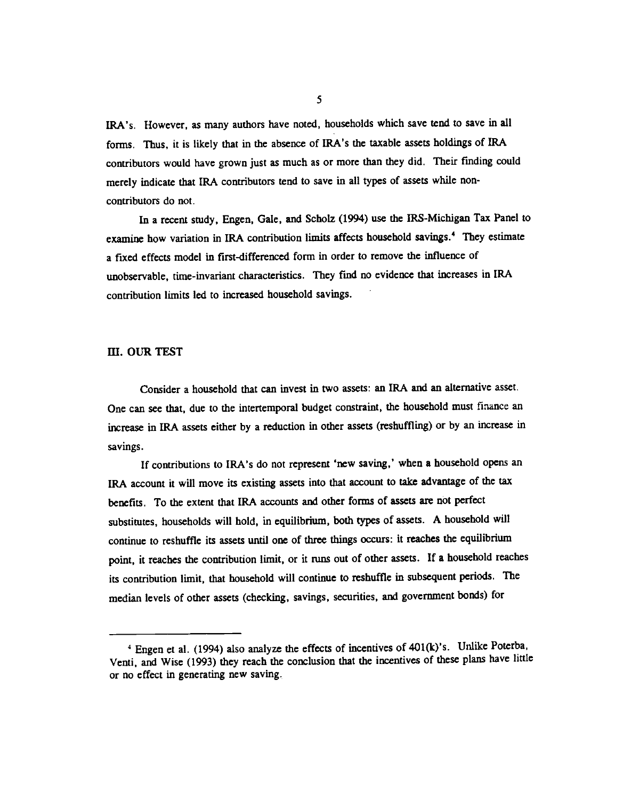IRA's. However, as many authors have noted, households which save tend to save in all forms. Thus, it is likely that in the absence of IRA's the taxable assets holdings of IRA contributors would have grown just as much as or more than they did. Their fmding could merely indicate that IRA contributors tend to save in all types of assets while noncontributors do not.

In a recent study, Engen, Gale, and Scbolz (1994) use the IRS-Michigan Tax Panel to examine how variation in IRA contribution limits affects household savings.<sup>4</sup> They estimate a fixed effects model in first-differenced form in order to remove the influence of unobservable, time-invariant characteristics. They fmd no evidence that increases in IRA contribution limits led to increased household savings.

#### ifi. OUR TEST

Consider a household that can invest in two assets: an IRA and an alternative asset. One can see that, due to the intertemporal budget constraint, the household must flnance an increase in IRA assets either by a reduction in other assets (reshuffling) or by an increase in savings.

If contributions to IRA's do not represent 'new saving,' when a household opens an IRA account it will move its existing assets into that account to take advantage of the tax benefits. To the extent that IRA accounts and other forms of assets are not perfect substitutes, households will hold, in equilibrium, both types of assets. A household will continue to reshuffle its assets until one of three things occurs: it reaches the equilibrium point, it reaches the contribution limit, or it nins out of other assets. If a household reaches its contribution limit, that household will continue to reshuffle in subsequent periods. The median levels of other assets (checking, savings, securities, and government bonds) for

Engen et a!. (1994) also analyze the effects of incentives of 401(k)'s. Unlike Poterba, Venti, and Wise (1993) they reach the conclusion that the incentives of these plans have little or no effect in generating new saving.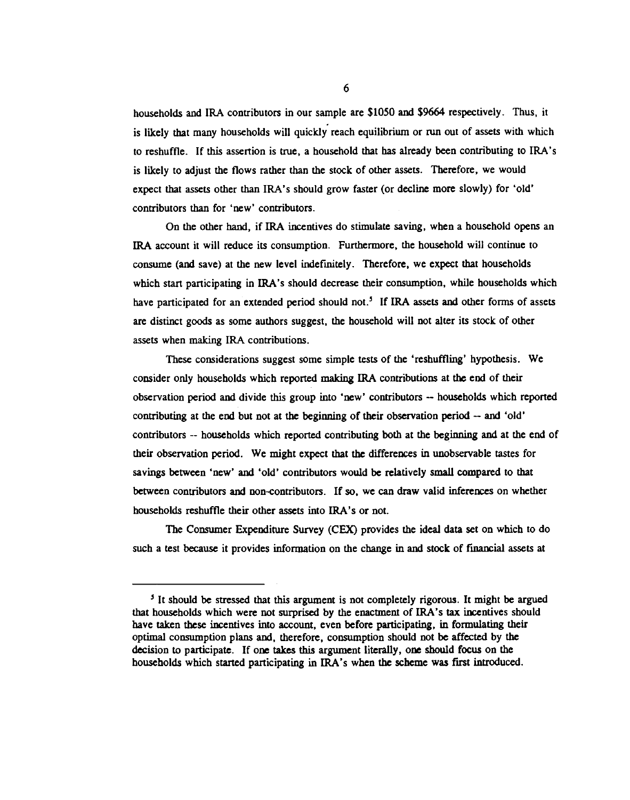households and IRA contributors in our sample are \$1050 and \$9664 respectively. Thus, it is likely that many households will quickly reach equilibrium or run out of assets with which to reshuffle. If this assertion is true, a household that has already been contributing to IRA's is likely to adjust the flows rather than the stock of other assets. Therefore, we would expect that assets other than IRA's should grow faster (or decline more slowly) for 'old' contributors than for 'new' contributors.

On the other hand, if IRA incentives do stimulate saving, when a household opens an IRA account it will reduce its consumption. Furthermore, the household will continue to consume (and save) at the new level indefinitely. Therefore, we expect that households which start participating in IRA's should decrease their consumption, while households which have participated for an extended period should not.<sup>5</sup> If IRA assets and other forms of assets are distinct goods as some authors suggest, the household will not alter its stock of other assets when making IRA contributions.

These considerations suggest some simple tests of the 'reshuffling' hypothesis. We consider only households which reported making IRA contributions at the end of their observation period and divide this group into 'new' contributors —households which reported contributing at the end but not at the beginning of their observation period — and 'old' contributors -- households which reported contributing both at the beginning and at the end of their observation period. We might expect that the differences in unobservable tastes for savings between 'new' and 'old' contributors would be relatively small compared to that between contributors and non-contributors. If so, we can draw valid inferences on whether households reshuffle their other assets into IRA's or not.

The Consumer Expenditure Survey (CEX) provides the ideal data set on which to do such a test because it provides information on the change in and stock of financial assets at

<sup>&</sup>lt;sup>5</sup> It should be stressed that this argument is not completely rigorous. It might be argued that households which were not surprised by the enactment of IRA's tax incentives should have taken these incentives into account, even before participating, in formulating their optimal consumption plans and, therefore, consumption should not be affected by the decision to participate. If one takes this argument literally, one should focus on the households which started participating in IRA's when the scheme was first introduced.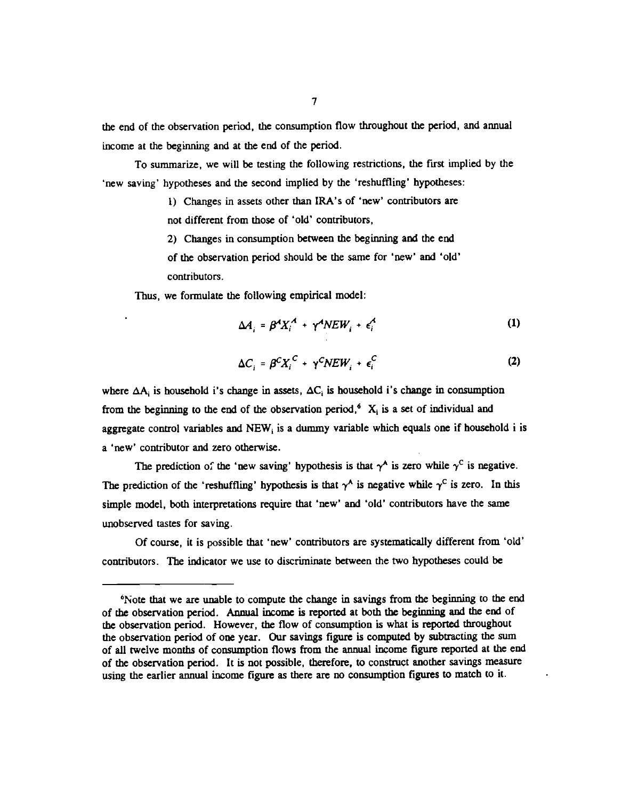the end of the observation period, the consumption flow throughout the period, and annual income at the beginning and at the end of the period.

To summarize, we will be testing the following restrictions, the first implied by the 'new saving' hypotheses and the second implied by the 'reshuffling' hypotheses:

> 1) Changes in assets other than IRA's of 'new' contributors are not different from those of 'old' contributors,

> 2) Changes in consumption between the beginning and the end of the observation period should be the same for 'new' and 'old' contributors.

Thus, we formulate the following empirical model:

$$
\Delta A_i = \beta^A X_i^A + \gamma^A N E W_i + \epsilon_i^A \tag{1}
$$

$$
\Delta C_i = \beta^C X_i^C + \gamma^C N E W_i + \epsilon_i^C \tag{2}
$$

where  $\Delta A_i$  is household i's change in assets,  $\Delta C_i$  is household i's change in consumption from the beginning to the end of the observation period,<sup>6</sup>  $X_i$  is a set of individual and aggregate control variables and NEW, is a dummy variable which equals one if household i is a 'new' contributor and zero otherwise.

The prediction of the 'new saving' hypothesis is that  $\gamma^A$  is zero while  $\gamma^C$  is negative. The prediction of the 'reshuffling' hypothesis is that  $\gamma^A$  is negative while  $\gamma^C$  is zero. In this simple model, both interpretations require that 'new' and 'old' contributors have the same unobserved tastes for saving.

Of course, it is possible that 'new' contributors are systematically different from 'old' contributors. The indicator we use to discriminate between the two hypotheses could be

<sup>6</sup>Note that we are unable to compute the change in savings from the beginning to the end of the observation period. Annual income is reported at both the beginning and the end of the observation period. However, the flow of consumption is what is reported throughout the observation period of one year. Our savings figure is computed by subtracting the sum of all twelve months of consumption flows from the annual income figure reported at the end of the observation period. It is not possible, therefore, to construct another savings measure using the earlier annual income figure as there are no consumption figures to match to it.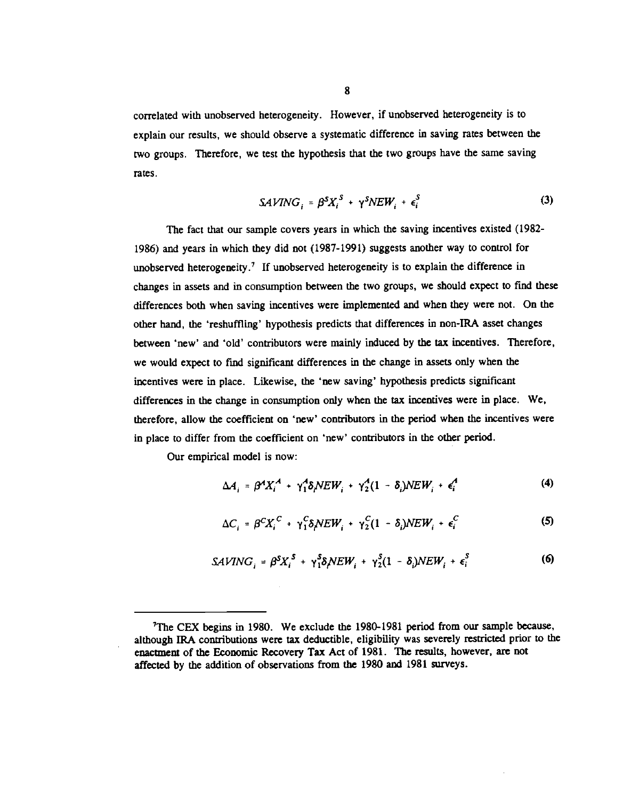correlated with unobserved heterogeneity. However, if unobserved heterogeneity is to explain our results, we should observe a systematic difference in saving rates between the two groups. Therefore, we test the hypothesis that the two groups have the same saving rates.

$$
SAVING_i = \beta^S X_i^S + \gamma^S N EW_i + \epsilon_i^S \tag{3}
$$

The fact that our sample covers years in which the saving incentives existed (1982- 1986) and years in which they did not (1987-1991) suggests another way to control for unobserved heterogeneity.<sup>7</sup> If unobserved heterogeneity is to explain the difference in changes in assets and in consumption between the two groups, we should expect to find these differences both when saving incentives were implemented and when they were not. On the other hand, the 'reshuffling' hypothesis predicts that differences in non-IRA asset changes between 'new' and 'old' contributors were mainly induced by the tax incentives. Therefore, we would expect to find significant differences in the change in assets only when the incentives were in place. Likewise, the 'new saving' hypothesis predicts significant differences in the change in consumption only when the tax incentives were in place. We, therefore, allow the coefficient on 'new' contributors in the period when the incentives were in place to differ from the coefficient on 'new' contributors in the other period.

Our empirical model is now:

$$
\Delta A_i = \beta^4 X_i^A + \gamma_1^A \delta_i N E W_i + \gamma_2^A (1 - \delta_i) N E W_i + \epsilon_i^A \tag{4}
$$

$$
\Delta C_i = \beta^C X_i^C + \gamma_1^C \delta_j N E W_i + \gamma_2^C (1 - \delta_i) N E W_i + \epsilon_i^C
$$
 (5)

$$
SAVING_i = \beta^S X_i^S + \gamma_1^S \delta \mathcal{N} EW_i + \gamma_2^S (1 - \delta_i) N EW_i + \epsilon_i^S
$$
 (6)

<sup>7</sup>The CEX begins in 1980. We exclude the 1980-1981 period from our sample because, although IRA contributions were tax deductible, eligibility was severely restricted prior to the enactment of the Economic Recovery Tax Act of 1981. The results, however, are not affected by the addition of observations from the 1980 and 1981 surveys.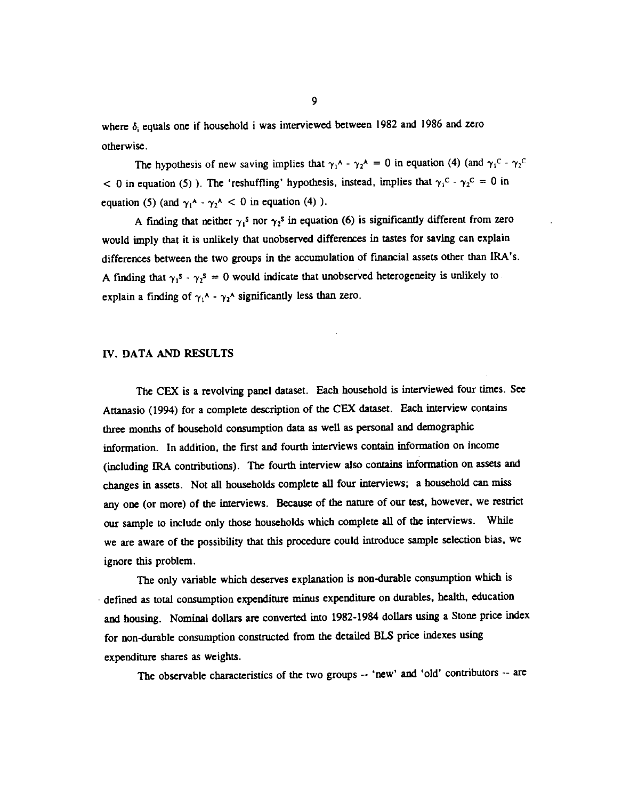where  $\delta_i$  equals one if household i was interviewed between 1982 and 1986 and zero otherwise.

The hypothesis of new saving implies that  $\gamma_1^A$  -  $\gamma_2^A$  = 0 in equation (4) (and  $\gamma_1^C$  -  $\gamma_2^C$  $< 0$  in equation (5)). The 'reshuffling' hypothesis, instead, implies that  $\gamma_1^C - \gamma_2^C = 0$  in equation (5) (and  $\gamma_1^A - \gamma_2^A < 0$  in equation (4)).

A finding that neither  $\gamma_1$ <sup>s</sup> nor  $\gamma_2$ <sup>s</sup> in equation (6) is significantly different from zero would imply that it is unlikely that unobserved differences in tastes for saving can explain differences between the two groups in the accumulation of financial assets other than IRA's. A finding that  $\gamma_1$ <sup>s</sup> -  $\gamma_2$ <sup>s</sup> = 0 would indicate that unobserved heterogeneity is unlikely to explain a finding of  $\gamma_1$ <sup>A</sup> -  $\gamma_2$ <sup>A</sup> significantly less than zero.

#### LV. DATA AND RESULTS

The CEX is a revolving panel dataset. Each household is interviewed four times. See Attanasio (1994) for a complete description of the CEX dataset. Each interview contains three months of household consumption data as well as personal and demographic information. In addition, the first and fourth interviews contain information on income (including IRA contributions). The fourth interview also contains information on assets and changes in assets. Not all households complete all four interviews; a household can miss any one (or more) of the interviews. Because of the nature of our test, however, we restrict our sample to include only those households which complete all of the interviews. While we are aware of the possibility that this procedure could introduce sample selection bias, we ignore this problem.

The only variable which deserves explanation is non-durable consumption which is defined as total consumption expenditure minus expenditure on durables, health, education and housing. Nominal dollars are converted into 1982-1984 dollars using a Stone price index for non-durable consumption constructed from the detailed BLS price indexes using expenditure shares as weights.

The observable characteristics of the two groups -- 'new' and 'old' contributors -- are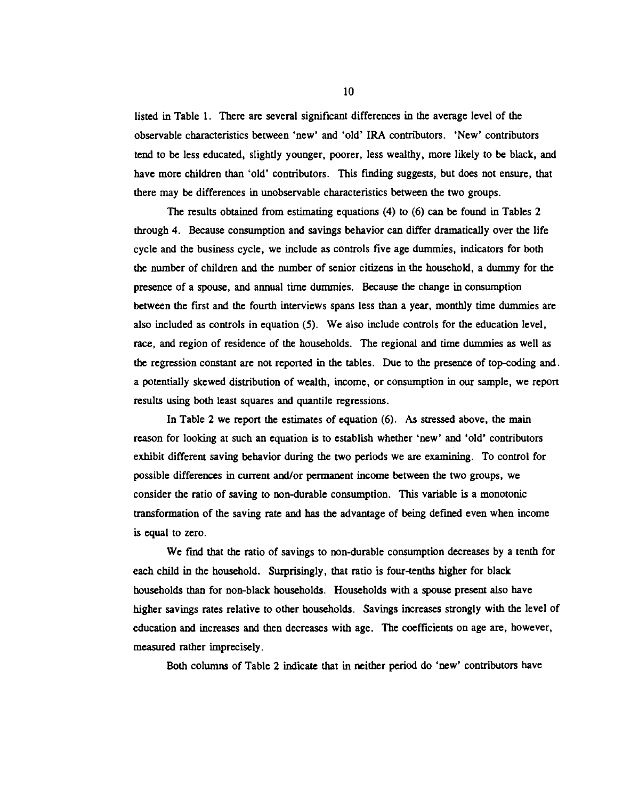listed in Table 1. There are several significant differences in the average level of the observable characteristics between 'new' and 'old' IRA contributors. 'New' contributors tend to be less educated, slightly younger, poorer, less wealthy, more likely to be black, and have more children than 'old' contributors. This finding suggests, but does not ensure, that there may be differences in unobservable characteristics between the two groups.

The results obtained from estimating equations  $(4)$  to  $(6)$  can be found in Tables 2 through 4. Because consumption and savings behavior can differ dramatically over the life cycle and the business cycle, we include as controls five age dummies, indicators for both the number of children and the number of senior citizens in the household, a dummy for the presence of a spouse, and annual time dummies. Because the change in consumption between the first and the fourth interviews spans less than a year, monthly time dummies are also included as controls in equation (5). We also include controls for the education level, race, and region of residence of the households. The regional and time dummies as well as the regression constant are not reported in the tables. Due to the presence of top-coding and.. a potentially skewed distribution of wealth, income, or consumption in our sample, we report results using both least squares and quantile regressions.

In Table 2 we report the estimates of equation (6). As stressed above, the main reason for looking at such an equation is to establish whether 'new' and 'old' contributors exhibit different saving behavior during the two periods we are examining. To control for possible differences in current andior permanent income between the two groups, we consider the ratio of saving to non-durable consumption. This variable is a monotonic transformation of the saving rate and has the advantage of being defined even when income is equal to zero.

We find that the ratio of savings to non-durable consumption decreases by a tenth for each child in the household. Surprisingly, that ratio is four-tenths higher for black households than for non-black households. Households with a spouse present also have higher savings rates relative to other households. Savings increases strongly with the level of education and increases and then decreases with age. The coefficients on age are, however, measured rather imprecisely.

Both columns of Table 2 indicate that in neither period do 'new' contributors have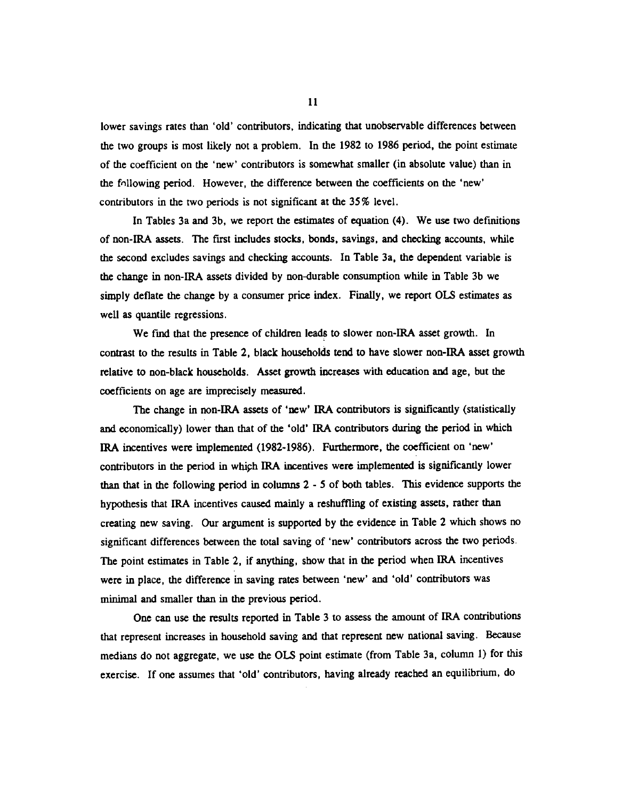lower savings rates than 'old' contributors, indicating that unobservable differences between the two groups is most likely not a problem. In the 1982 to 1986 period, the point estimate of the coefficient on the 'new' contributors is somewhat smaller (in absolute value) than in the fnllowing period. However, the difference between the coefficients on the 'new' contributors in the two periods is not significant at the 35% level.

In Tables 3a and 3b, we report the estimates of equation (4). We use two definitions of non-IRA assets. The first includes stocks, bonds, savings, and checking accounts, while the second excludes savings and checking accounts. In Table 3a, the dependent variable is the change in non-IRA assets divided by non-durable consumption while in Table 3b we simply deflate the change by a consumer price index. Finally, we report OLS estimates as well as quantile regressions.

We find that the presence of children leads to slower non-IRA asset growth. In contrast to the results in Table 2, black households tend to have slower non-IRA asset growth relative to non-black households. Asset growth increases with education and age, but the coefficients on age are imprecisely measured.

The change in non-IRA assets of 'new' IRA contributors is significantly (statistically and economically) lower than that of the 'old' IRA contributors during the period in which IRA incentives were implemented (1982-1986). Furthermore, the coefficient on 'new' contributors in the period in which IRA incentives were implemented is significantly lower than that in the following period in columns 2 - 5 of both tables. This evidence supports the hypothesis that IRA incentives caused mainly a reshuffling of existing assets, rather than creating new saving. Our argument is supported by the evidence in Table 2 which shows no significant differences between the total saving of 'new' contributors across the two periods. The point estimates in Table 2, if anything, show that in the period when IRA incentives were in place, the difference in saving rates between 'new' and 'old' contributors was minimal and smaller than in the previous period.

One can use the results reported in Table 3 to assess the amount of IRA contributions that represent increases in household saving and that represent new national saving. Because medians do not aggregate, we use the OLS point estimate (from Table 3a, column 1) for this exercise. If one assumes that 'old' contributors, having already reached an equilibrium, do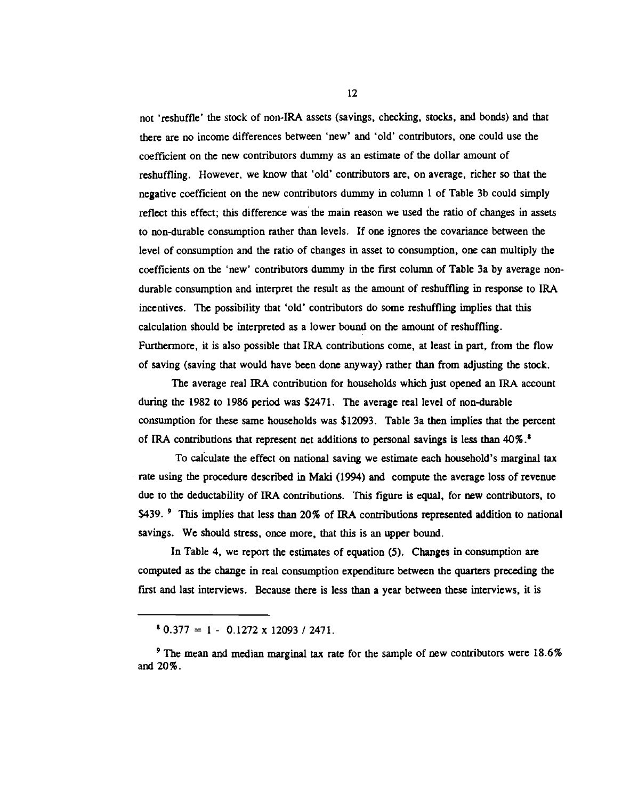not 'reshuffle' the stock of non-IRA assets (savings, checking, stocks, and bonds) and that there are no income differences between 'new' and 'old' contributors, one could use the coefficient on the new contributors dummy as an estimate of the dollar amount of reshuffling. However, we know that 'old' contributors are, on average, richer so that the negative coefficient on the new contributors dummy in column 1 of Table 3b could simply reflect this effect; this difference was the main reason we used the ratio of changes in assets to non-durable consumption rather than levels. If one ignores the covariance between the level of consumption and the ratio of changes in asset to consumption, one can multiply the coefficients on the 'new' contributors dummy in the first column of Table 3a by average nondurable consumption and interpret the result as the amount of reshuffling in response to IRA incentives. The possibility that 'old' contributors do some reshuffling implies that this calculation should be interpreted as a lower bound on the amount of reshuffling. Furthermore, it is also possible that IRA contributions come, at least in part, from the flow of saving (saving that would have been done anyway) rather than from adjusting the stock.

The average real IRA contribution for households which just opened an IRA account during the 1982 to 1986 period was \$2471. The average real level of non-durable consumption for these same households was \$12093. Table 3a then implies that the percent of IRA contributions that represent net additions to personal savings is less than 40% .

To calculate the effect on national saving we estimate each household's marginal tax rate using the procedure described in Maki (1994) and compute the average loss of revenue due to the deductability of IRA contributions. This figure is equal, for new contributors, to \$439. <sup>9</sup> This implies that less than 20% of IRA contributions represented addition to national savings. We should stress, once more, that this is an upper bound.

In Table 4, we report the estimates of equation (5). Changes in consumption are computed as the change in real consumption expenditure between the quarters preceding the first and last interviews. Because there is less than a year between these interviews, it is

 $$0.377 = 1 - 0.1272 \times 12093 / 2471.$ 

The mean and median marginal tax rate for the sample of new contributors were 18.6% and 20%.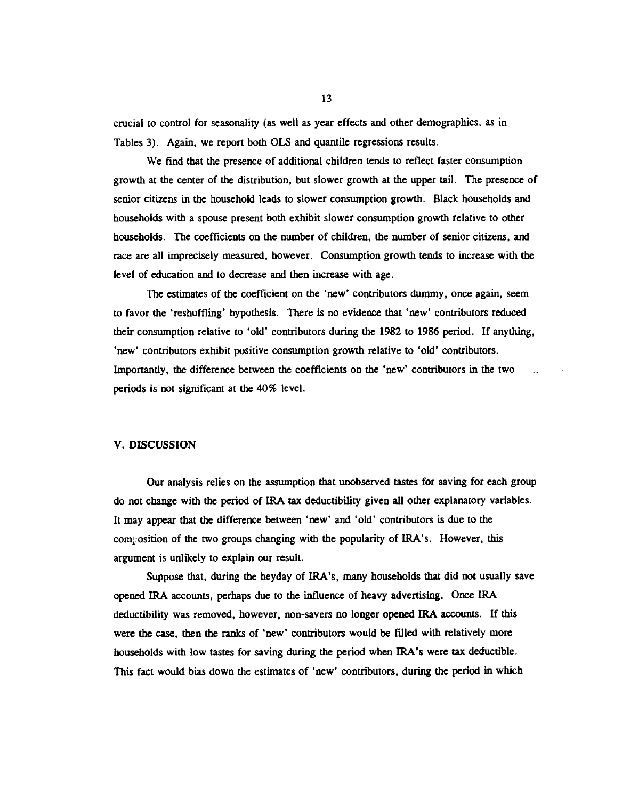crucial to control for seasonality (as well as year effects and other demographics, as in Tables 3). Again, we report both OLS and quantile regressions results.

We find that the presence of additional children tends to reflect faster consumption growth at the center of the distribution, but slower growth at the upper tail. The presence of senior citizens in the household leads to slower consumption growth. Black households and households with a spouse present both exhibit slower consumption growth relative to other households. The coefficients on the number of children, the number of senior citizens, and race are all imprecisely measured, however. Consumption growth tends to increase with the level of education and to decrease and then increase with age.

The estimates of the coefficient on the 'new' contributors dummy, once again, seem to favor the 'reshuffling' hypothesis. There is no evidence that 'new' contributors reduced their consumption relative to 'old' contributors during the 1982 to 1986 period. If anything, 'new' contributors exhibit positive consumption growth relative to 'old' contributors. Importantly, the difference between the coefficients on the 'new' contributors in the two periods is not significant at the 40% level.

#### V. DISCUSSION

Our analysis relies on the assumption that unobserved tastes for saving for each group do not change with the period of IRA tax deductibility given all other explanatory variables. ft may appear that the difference between 'new' and 'old' contributors is due to the composition of the two groups changing with the popularity of IRA's. However, this argument is unlikely to explain our result.

Suppose that, during the heyday of IRA's, many households that did not usually save opened IRA accounts, perhaps due to the influence of heavy advertising. Once IRA deductibility was removed, however, non-savers no longer opened IRA accounts. If this were the case, then the ranks of 'new' contributors would be filled with relatively more households with low tastes for saving during the period when IRA's were tax deductible. This fact would bias down the estimates of 'new' contributors, during the period in which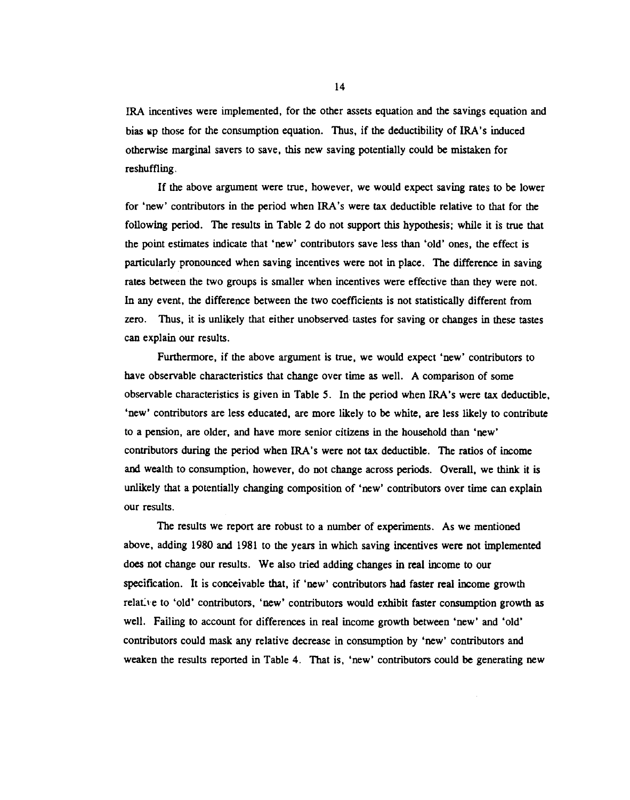IRA incentives were implemented, for the other assets equation and the savings equation and bias up those for the consumption equation. Thus, if the deductibility of IRA's induced otherwise marginal savers to save, this new saving potentially could be mistaken for reshuffling.

If the above argument were true, however, we would expect saving rates to be lower for 'new' contributors in the period when IRA's were tax deductible relative to that for the following period. The results in Table 2 do not support this hypothesis; while it is true that the point estimates indicate that 'new' contributors save less than 'old' ones, the effect is particularly pronounced when saving incentives were not in place. The difference in saving rates between the two groups is smaller when incentives were effective than they were not. In any event, the difference between the two coefficients is not statistically different from zero. Thus, it is unlikely that either unobserved tastes for saving or changes in these tastes can explain our results.

Furthermore, if the above argument is true, we would expect 'new' contributors to have observable characteristics that change over time as well. A comparison of some observable characteristics is given in Table 5. In the period when IRA's were tax deductible, 'new' contributors are less educated, are more likely to be white, are less likely to contribute to a pension, are older, and have more senior citizens in the household than 'new' contributors during the period when IRA's were not tax deductible. The ratios of income and wealth to consumption, however, do not change across periods. Overall, we think it is unlikely that a potentially changing composition of 'new' contributors over time can explain our results.

The results we report are robust to a number of experiments. As we mentioned above, adding 1980 and 1981 to the years in which saving incentives were not implemented does not change our results. We also tried adding changes in real income to our specification. It is conceivable that, if 'new' contributors had faster real income growth relative to 'old' contributors, 'new' contributors would exhibit faster consumption growth as well. Failing to account for differences in real income growth between 'new' and 'old' contributors could mask any relative decrease in consumption by 'new' contributors and weaken the results reported in Table 4. That is, 'new' contributors could be generating new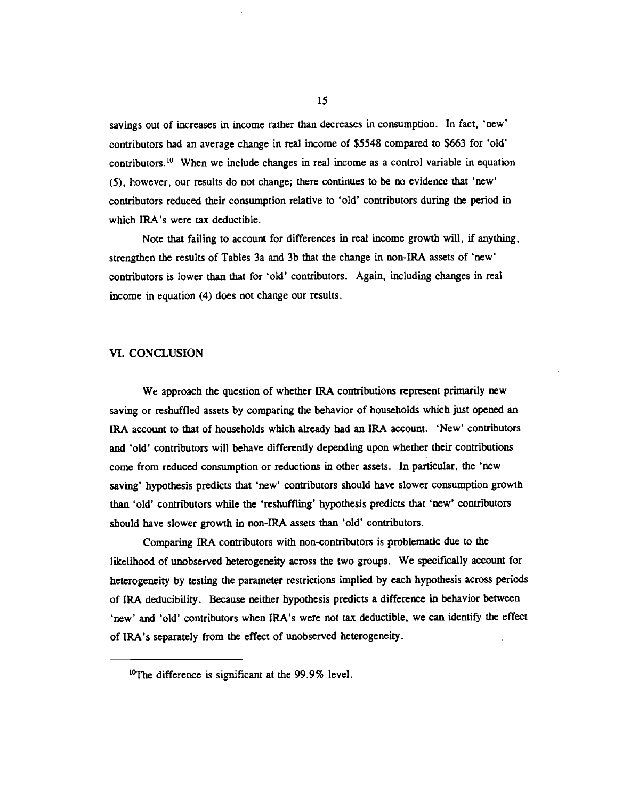savings out of increases in income rather than decreases in consumption. In fact, 'new' contributors had an average change in real income of \$5548 compared to \$663 for 'old' contributors.<sup>10</sup> When we include changes in real income as a control variable in equation (5), however, our results do not change; there continues to be no evidence that 'new' contributors reduced their consumption relative to 'old' contributors during the period in which IRA's were tax deductible.

Note that failing to account for differences in real income growth will, if anything, strengthen the results of Tables 3a and 3b that the change in non-IRA assets of 'new' contributors is lower than that for 'old' contributors. Again, including changes in real income in equation (4) does not change our results.

## VI. CONCLUSION

We approach the question of whether IRA contributions represent primarily new saving or reshuffled assets by comparing the behavior of households which just opened an IRA account to that of households which already had an IRA account. 'New' contributors and 'old' contributors will behave differently depending upon whether their contributions come from reduced consumption or reductions in other assets. In particular, the 'new saving' hypothesis predicts that 'new' contributors should have slower consumption growth than 'old' contributors while the 'reshuffling' hypothesis predicts that 'new' contributors should have slower growth in non-IRA assets than 'old' contributors.

Comparing IRA contributors with non-contributors is problematic due to the likelihood of unobserved heterogeneity across the two groups. We specifically account for heterogeneity by testing the parameter restrictions implied by each hypothesis across periods of IRA deducibility. Because neither hypothesis predicts a difference in behavior between 'new' and 'old' contributors when IRA's were not tax deductible, we can identify the effect of IRA's separately from the effect of unobserved heterogeneity.

<sup>&</sup>lt;sup>10</sup>The difference is significant at the 99.9% level.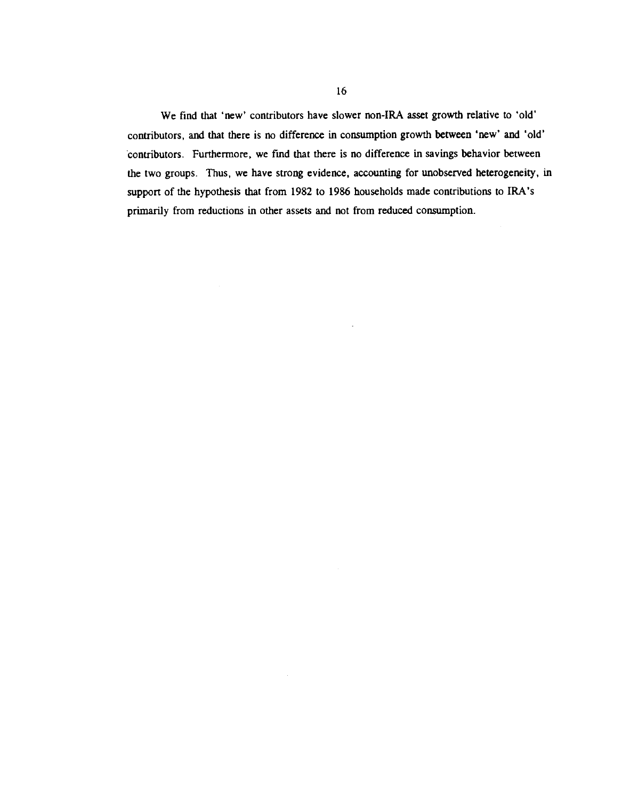We find that 'new' contributors have slower non-IRA asset growth relative to 'old' contributors, and that there is no difference in consumption growth between 'new' and 'old' contributors. Furthermore, we find that there is no difference in savings behavior between the two groups. Thus, we have strong evidence, accounting for unobserved heterogeneity, in support of the hypothesis that from 1982 to 1986 households made contributions to IRA's primarily from reductions in other assets and not from reduced consumption.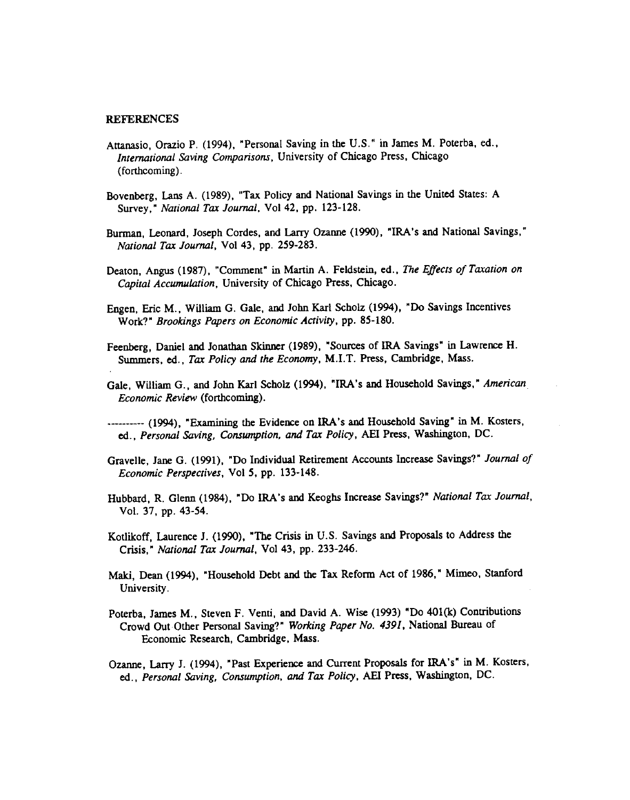#### REFERENCES

- Attanasio, Orazio P. (1994), "Personal Saving in the U.S." in James M. Poterba, ed., International Saving Comparisons, University of Chicago Press, Chicago (forthcoming).
- Bovenberg, Lans A. (1989), 'Tax Policy and National Savings in the United States: A Survey," National Tax Journal, Vol 42, pp. 123-128.
- Burman, Leonard, Joseph Cordes, and Larry Ozanne (1990), "IRA's and National Savings," National Tax Journal, Vol 43, pp. 259-283.
- Deaton, Angus (1987), "Comment" in Martin A. Feldstein, ed., The Effects of Taxation on Capital Accumulation, University of Chicago Press, Chicago.
- Engen, Eric M., William G. Gale, and John Karl Scholz (1994), "Do Savings Incentives Work?" Brookings Papers on Economic Activity, pp. 85-180.
- Feenberg, Daniel and Jonathan Skinner (1989), "Sources of IRA Savings" in Lawrence H. Summers, ed., Tax Policy and the Economy, M.I.T. Press, Cambridge, Mass.
- Gale. William G., and John Karl Scholz (1994), "IRA's and Household Savings," American Economic Review (forthcoming).
- —-- (1994), "Examining the Evidence on IRA's and Household Saving" in M. Kosters, ed., Personal Saving, Consumption, and Tax Policy, AEI Press, Washington, DC.
- Gravelle, Jane G. (1991), "Do Individual Retirement Accounts Increase Savings?" Journal of Economic Perspectives, Vol 5, pp. 133-148.
- Hubbard, R. Glenn (1984), "Do IRA's and Keoghs Increase Savings?" National Tax Journal, Vol. 37, pp. 43-54.
- Kotlikoff, Laurence J. (1990), "The Crisis in U.S. Savings and Proposals to Address the Crisis," National Tax Journal, Vol 43, pp. 233-246.
- Maki, Dean (1994), "Household Debt and the Tax Reform Act of 1986," Mimeo, Stanford University.
- Poterba, James M., Steven F. Venti, and David A. Wise (1993) "Do 401(k) Contributions Crowd Out Other Personal Saving?" Working Paper No. 4391, National Bureau of Economic Research, Cambridge, Mass.
- Ozanne, Larry 1. (1994), "Past Experience and Current Proposals for IRA's" in M. Kosters, ed., Personal Saving, Consumption, and Tax Policy, AEI Press, Washington, DC.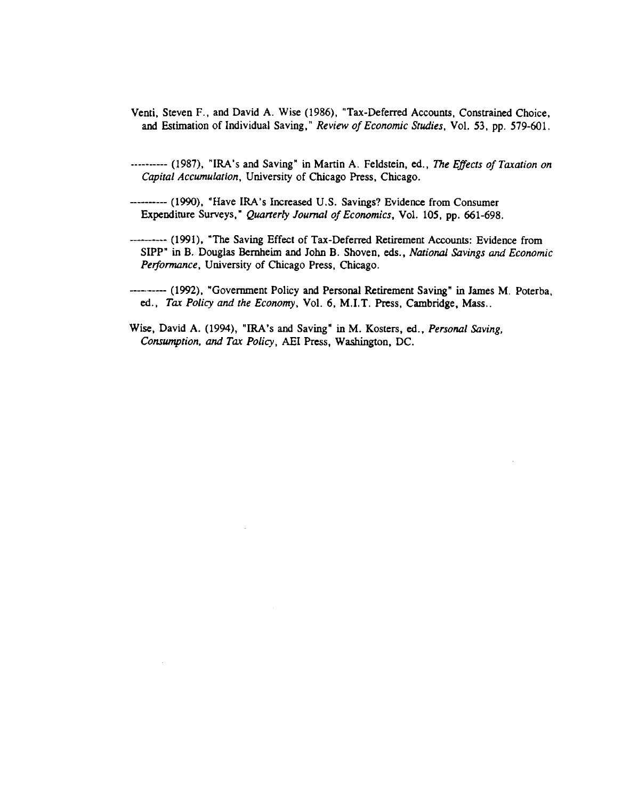- Venti, Steven F., and David A. Wise (1986), "Tax-Deferred Accounts, Constrained Choice, and Estimation of Individual Saving," Review of Economic Studies, Vol. 53, pp. 579-601.
- ............ (1987), "IRA's and Saving" in Martin A. Feldstein, ed., The Effects of Taxation on Capital Accumulation, University of Chicago Press, Chicago.
- (1990), "Have IRA's Increased U.S. Savings? Evidence from Consumer Expenditure Surveys," Quarterly Journal of Economics, Vol. 105, pp. 661-698.
- (1991), "The Saving Effect of Tax-Deferred Retirement Accounts: Evidence from SIPP" in B. Douglas Bernheim and John B. Shoven, eds., National Savings and Economic Performance, University of Chicago Press, Chicago.

(1992), "Government Policy and Personal Retirement Saving" in James M. Poterba, ed., Tax Policy and the Economy, Vol. 6, M.I.T. Press, Cambridge, Mass..

Wise, David A. (1994), "IRA's and Saving" in M. Kosters, ed., Personal Saving, Consumption, and Tax Policy, AEI Press, Washington, DC.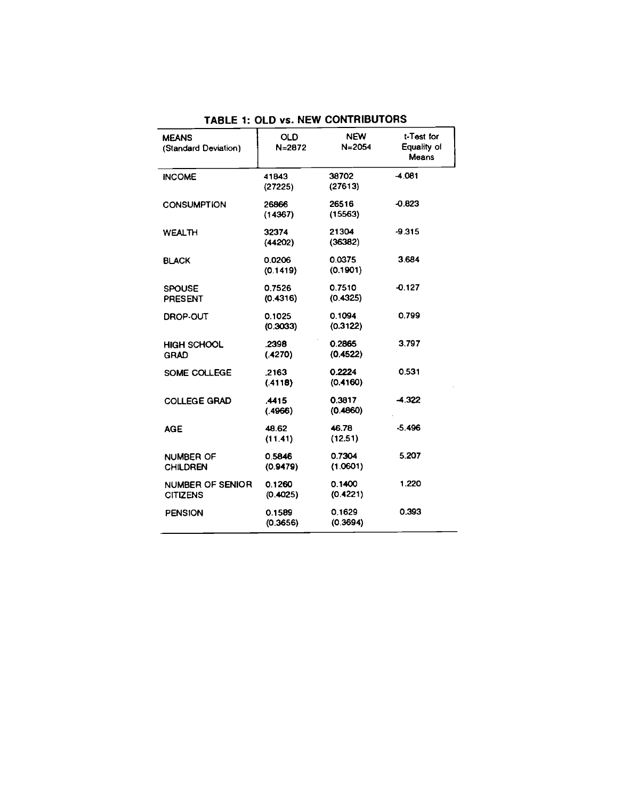| <b>MEANS</b><br>(Standard Deviation) | <b>OLD</b><br>N=2872 | <b>NEW</b><br>$N = 2054$ | t-Test for<br>Equality of<br>Means |
|--------------------------------------|----------------------|--------------------------|------------------------------------|
| <b>INCOME</b>                        | 41843<br>(27225)     | 38702<br>(27613)         | $-4.081$                           |
| <b>CONSUMPTION</b>                   | 26866<br>(14367)     | 26516<br>(15563)         | $-0.823$                           |
| <b>WEALTH</b>                        | 32374<br>(44202)     | 21304<br>(36382)         | -9.315                             |
| <b>BLACK</b>                         | 0.0206<br>(0.1419)   | 0.0375<br>(0.1901)       | 3.684                              |
| <b>SPOUSE</b><br><b>PRESENT</b>      | 0.7526<br>(0.4316)   | 0.7510<br>(0.4325)       | $-0.127$                           |
| DROP-OUT                             | 0.1025<br>(0.3033)   | 0.1094<br>(0.3122)       | 0.799                              |
| <b>HIGH SCHOOL</b><br><b>GRAD</b>    | .2398<br>(.4270)     | 0.2865<br>(0.4522)       | 3.797                              |
| SOME COLLEGE                         | .2163<br>(.4118)     | 0.2224<br>(0.4160)       | 0.531                              |
| <b>COLLEGE GRAD</b>                  | .4415<br>(4966)      | 0.3817<br>(0.4860)       | $-4.322$                           |
| <b>AGE</b>                           | 48.62<br>(11.41)     | 46.78<br>(12.51)         | $-5.496$                           |
| <b>NUMBER OF</b><br><b>CHILDREN</b>  | 0.5846<br>(0.9479)   | 0.7304<br>(1.0601)       | 5.207                              |
| NUMBER OF SENIOR<br><b>CITIZENS</b>  | 0.1260<br>(0.4025)   | 0.1400<br>(0.4221)       | 1.220                              |
| <b>PENSION</b>                       | 0.1589<br>(0.3656)   | 0.1629<br>(0.3694)       | 0.393                              |

TABLE 1: OLD vs. NEW CONTRIBUTORS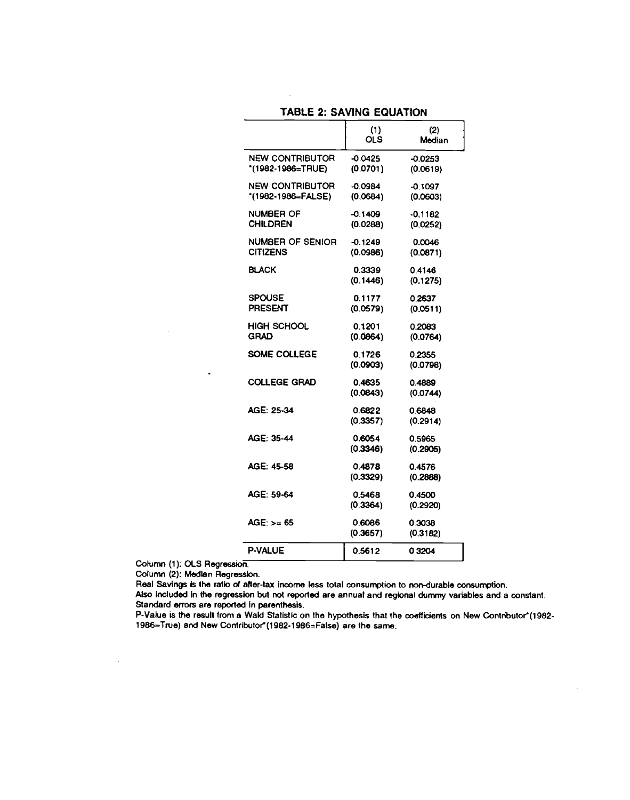# TABLE 2: SAVING EQUATION

 $\mathcal{L}_{\mathbf{z}}$ 

|                                            | (1)<br>OLS.           | (2)<br>Median         |
|--------------------------------------------|-----------------------|-----------------------|
| NEW CONTRIBUTOR<br>"(1982-1986=TRUE)       | -0.0425<br>(0.0701)   | $-0.0253$<br>(0.0619) |
| NEW CONTRIBUTOR<br>*(1982-1986=FALSE)      | $-0.0984$<br>(0.0684) | $-0.1097$<br>(0.0603) |
| NUMBER OF<br>CHILDREN                      | -0.1409<br>(0.0288)   | $-0.1182$<br>(0.0252) |
| <b>NUMBER OF SENIOR</b><br><b>CITIZENS</b> | -0.1249<br>(0.0986)   | 0.0046<br>(0.0871)    |
| BLACK                                      | 0.3339<br>(0.1446)    | 0.4146<br>(0.1275)    |
| SPOUSE<br><b>PRESENT</b>                   | 0.1177<br>(0.0579)    | 0.2637<br>(0.0511)    |
| HIGH SCHOOL<br><b>GRAD</b>                 | 0.1201<br>(0.0864)    | 0.2083<br>(0.0764)    |
| SOME COLLEGE                               | 0.1726<br>(0.0903)    | 0.2355<br>(0.0798)    |
| COLLEGE GRAD                               | 0.4635<br>(0.0843)    | 0.4889<br>(0.0744)    |
| AGE: 25-34                                 | 0.6822<br>(0.3357)    | 0.6848<br>(0.2914)    |
| AGE: 35-44                                 | 0.6054<br>(0.3346)    | 0.5965<br>(0.2905)    |
| AGE: 45-58                                 | 0.4878<br>(0.3329)    | 0.4576<br>(0.2888)    |
| AGE: 59-64                                 | 0.5468<br>(0.3364)    | 0.4500<br>(0.2920)    |
| AGE: >= 65                                 | 0.6086<br>(0.3657)    | 0.3038<br>(0.3182)    |
| P-VALUE                                    | 0.5612                | 0 3 2 0 4             |

Column (1): OLS Regression.

 $\bar{\mathcal{A}}$ 

 $\sim$ 

 $\blacksquare$ 

Column (2): Median Regression.

Real Savings is the ratio of after-tax income less total consumption to non-durable consumption.

Also included in the regression but not reported are annual and regional dummy variables and a constant. Standard errors are reported in parenthesis.

P-Value is the result from a Wald Statistic on the hypothesis that the coefficients on New Contributor\*(1982-1986=True) and New Contributor\*(1982-1986=False) are the same.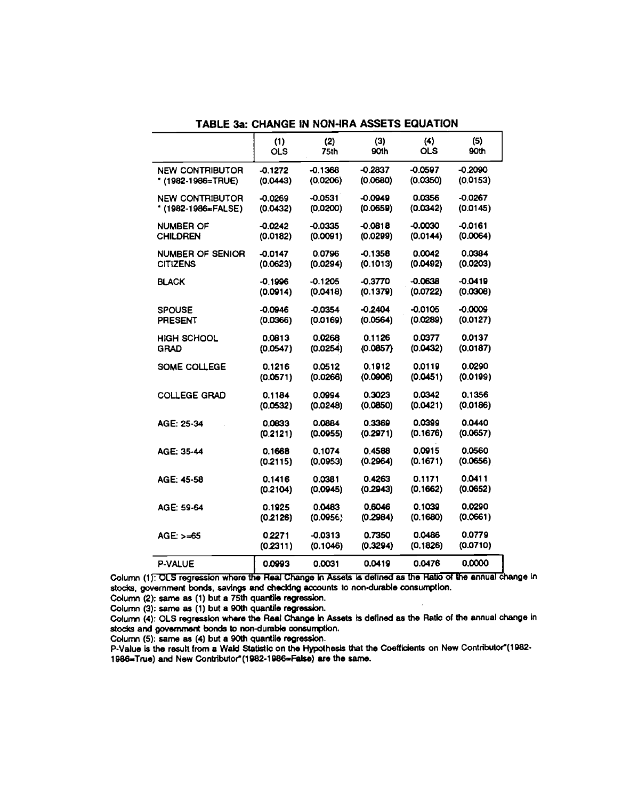|                         | (1)        | (2)       | (3)       | (4)        | (5)       |
|-------------------------|------------|-----------|-----------|------------|-----------|
|                         | <b>OLS</b> | 75th      | 90th      | <b>OLS</b> | 90th      |
| <b>NEW CONTRIBUTOR</b>  | $-0.1272$  | $-0.1368$ | $-0.2837$ | $-0.0597$  | $-0.2090$ |
| * (1982-1986=TRUE)      | (0.0443)   | (0.0206)  | (0.0680)  | (0.0350)   | (0.0153)  |
| <b>NEW CONTRIBUTOR</b>  | $-0.0269$  | $-0.0531$ | $-0.0949$ | 0.0356     | $-0.0267$ |
| *(1982-1986=FALSE)      | (0.0432)   | (0.0200)  | (0.0659)  | (0.0342)   | (0.0145)  |
| <b>NUMBER OF</b>        | $-0.0242$  | $-0.0335$ | $-0.0818$ | -0.0030    | $-0.0161$ |
| <b>CHILDREN</b>         | (0.0182)   | (0.0091)  | (0.0299)  | (0.0144)   | (0.0064)  |
| <b>NUMBER OF SENIOR</b> | $-0.0147$  | 0.0796    | $-0.1358$ | 0.0042     | 0.0384    |
| <b>CITIZENS</b>         | (0.0623)   | (0.0294)  | (0.1013)  | (0.0492)   | (0.0203)  |
| <b>BLACK</b>            | -0.1996    | $-0.1205$ | -0.3770   | -0.0638    | $-0.0419$ |
|                         | (0.0914)   | (0.0418)  | (0.1379)  | (0.0722)   | (0.0308)  |
| <b>SPOUSE</b>           | $-0.0946$  | $-0.0354$ | $-0.2404$ | $-0.0105$  | $-0.0009$ |
| <b>PRESENT</b>          | (0.0366)   | (0.0169)  | (0.0564)  | (0.0289)   | (0.0127)  |
| <b>HIGH SCHOOL</b>      | 0.0813     | 0.0268    | 0.1126    | 0.0377     | 0.0137    |
| <b>GRAD</b>             | (0.0547)   | (0.0254)  | (0.0857)  | (0.0432)   | (0.0187)  |
| SOME COLLEGE            | 0.1216     | 0.0512    | 0.1912    | 0.0119     | 0.0290    |
|                         | (0.0571)   | (0.0266)  | (0.0906)  | (0.0451)   | (0.0199)  |
| <b>COLLEGE GRAD</b>     | 0.1184     | 0.0994    | 0.3023    | 0.0342     | 0.1356    |
|                         | (0.0532)   | (0.0248)  | (0.0850)  | (0.0421)   | (0.0186)  |
| AGE: 25-34              | 0.0833     | 0.0884    | 0.3369    | 0.0399     | 0.0440    |
|                         | (0.2121)   | (0.0955)  | (0.2971)  | (0.1676)   | (0.0657)  |
| AGE: 35-44              | 0.1668     | 0.1074    | 0.4588    | 0.0915     | 0.0560    |
|                         | (0.2115)   | (0.0953)  | (0.2964)  | (0.1671)   | (0.0656)  |
| AGE: 45-58              | 0.1416     | 0.0381    | 0.4263    | 0.1171     | 0.0411    |
|                         | (0.2104)   | (0.0945)  | (0.2943)  | (0.1662)   | (0.0652)  |
| AGE: 59-64              | 0.1925     | 0.0483    | 0.6046    | 0.1039     | 0.0290    |
|                         | (0.2126)   | (0.0956)  | (0.2984)  | (0.1680)   | (0.0661)  |
| AGE: $> = 65$           | 0.2271     | -0.0313   | 0.7350    | 0.0486     | 0.0779    |
|                         | (0.2311)   | (0.1046)  | (0.3294)  | (0.1826)   | (0.0710)  |
| <b>P-VALUE</b>          | 0.0993     | 0.0031    | 0.0419    | 0.0476     | 0.0000    |

TABLE 3a: CHANGE IN NON-IRA ASSETS EQUATION

Column (1): OLS regression where the Real Change in Assets is defined as the Ratio of the annual change in stocks, government bonds, savings and checking accounts to non-durable consumption.

Column (2): same as (1) but a 75th quantlle regression.

Column (3): same as (1) but a 90th quantile regression.

Column (4): OLS regression where the Real Change in Assets is defined as the Ratic of the annual change in stocks and government bonds to non-durable consumption.

Column (5): same as (4) but a 90th quantile regression.

P-Value is the result from a Wald Statistic on the Hypothesis that the Coefficients on New Contributor\*(1982-1986=True) and New Contributor (1982-1986=False) are the same.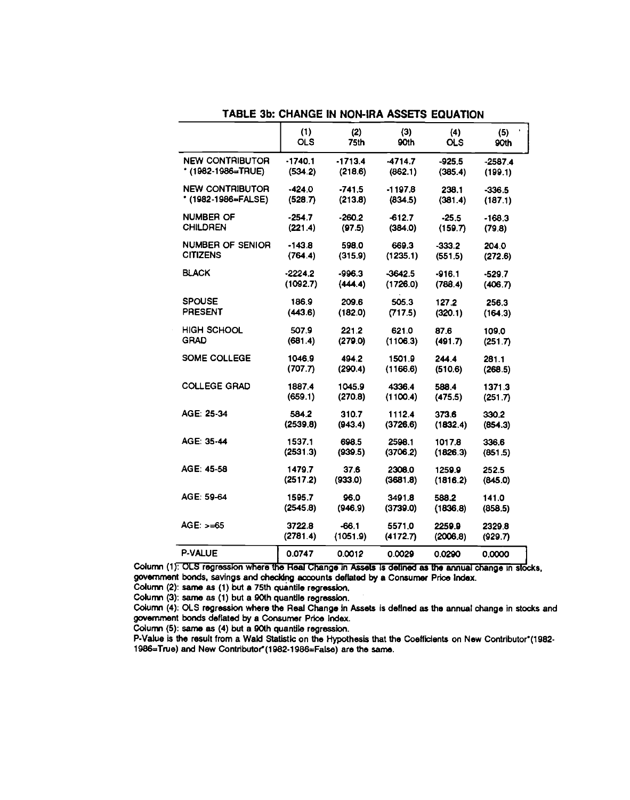|                        | (1)                | (2)              | (3)                | (4)                | (5)              |
|------------------------|--------------------|------------------|--------------------|--------------------|------------------|
|                        | <b>OLS</b>         | <b>75th</b>      | 90th               | <b>OLS</b>         | 90th             |
| <b>NEW CONTRIBUTOR</b> | $-1740.1$          | $-1713.4$        | $-4714.7$          | $-925.5$           | $-2587.4$        |
| * (1982-1986=TRUE)     | (534.2)            | (218.6)          | (862.1)            | (385.4)            | (199.1)          |
| <b>NEW CONTRIBUTOR</b> | $-424.0$           | $-741.5$         | $-1197.8$          | 238.1              | $-336.5$         |
| * (1982-1986=FALSE)    | (528.7)            | (213.8)          | (834.5)            | (381.4)            | (187.1)          |
| NUMBER OF              | $-254.7$           | $-260.2$         | $-612.7$           | $-25.5$            | $-168.3$         |
| <b>CHILDREN</b>        | (221.4)            | (97.5)           | (384.0)            | (159.7)            | (79.8)           |
| NUMBER OF SENIOR       | -143.8             | 598.0            | 669.3              | $-333.2$           | 204.0            |
| <b>CITIZENS</b>        | (764.4)            | (315.9)          | (1235.1)           | (551.5)            | (272.6)          |
| <b>BLACK</b>           | $-2224.2$          | $-996.3$         | $-3642.5$          | $-916.1$           | $-529.7$         |
|                        | (1092.7)           | (444.4)          | (1726.0)           | (788.4)            | (406.7)          |
| <b>SPOUSE</b>          | 186.9              | 209.6            | 505.3              | 127.2              | 256.3            |
| <b>PRESENT</b>         | (443.6)            | (182.0)          | (717.5)            | (320.1)            | (164.3)          |
| <b>HIGH SCHOOL</b>     | 507.9              | 221.2            | 621.0              | 87.6               | 109.0            |
| <b>GRAD</b>            | (681.4)            | (279.0)          | (1106.3)           | (491.7)            | (251.7)          |
| SOME COLLEGE           | 1046.9             | 494.2            | 1501.9             | 244.4              | 281.1            |
|                        | (707.7)            | (290.4)          | (1166.6)           | (510.6)            | (268.5)          |
| <b>COLLEGE GRAD</b>    | 1887.4             | 1045.9           | 4336.4             | 588.4              | 1371.3           |
|                        | (659.1)            | (270.8)          | (1100.4)           | (475.5)            | (251.7)          |
| AGE: 25-34             | 584.2              | 310.7            | 1112.4             | 373.6              | 330.2            |
|                        | (2539.8)           | (943.4)          | (3726.6)           | (1832.4)           | (854.3)          |
| AGE: 35-44             | 1537.1<br>(2531.3) | 698.5<br>(939.5) | 2598.1<br>(3706.2) | 1017.8<br>(1826.3) | 336.6            |
| AGE: 45-58             | 1479.7<br>(2517.2) | 37.6             | 2308.0<br>(3681.8) | 1259.9             | (851.5)<br>252.5 |
| AGE: 59-64             | 1595.7             | (933.0)<br>96.0  | 3491.8             | (1816.2)<br>588.2  | (845.0)<br>141.0 |
| AGE: $> = 65$          | (2545.8)           | (946.9)          | (3739.0)           | (1836.8)           | (858.5)          |
|                        | 3722.8             | $-66.1$          | 5571.0             | 2259.9             | 2329.8           |
| P-VALUE                | (2781.4)           | (1051.9)         | (4172.7)           | (2006.8)           | (929.7)          |
|                        | 0.0747             | 0.0012           | 0.0029             | 0.0290             | 0.0000           |

TABLE 3b: CHANGE IN NON-IRA ASSETS EQUATION

Column (1): OLS regression where the Real Change in Assets Is defined as the annual change in stocks, government bonds, savings and checking accounts deflated by a Consumer Price Index.

Column (2): same as (1) but a 75th quantile regression.

Column (3): same as (1) but a 90th quantlle regression.

Column (4): OLS regression where the Real Change in Assets is defined as the annual change in stocks and government bonds deflated by a Consumer Price Index.

Column (5): same as (4) but a 90th quantlle regression.

P-Value is the result from a Wald Statistic on the Hypothesis that the Coefficients on New Contributor\*(1982-1986=True) and New Contributor<sup>\*</sup>(1982-1986=False) are the same.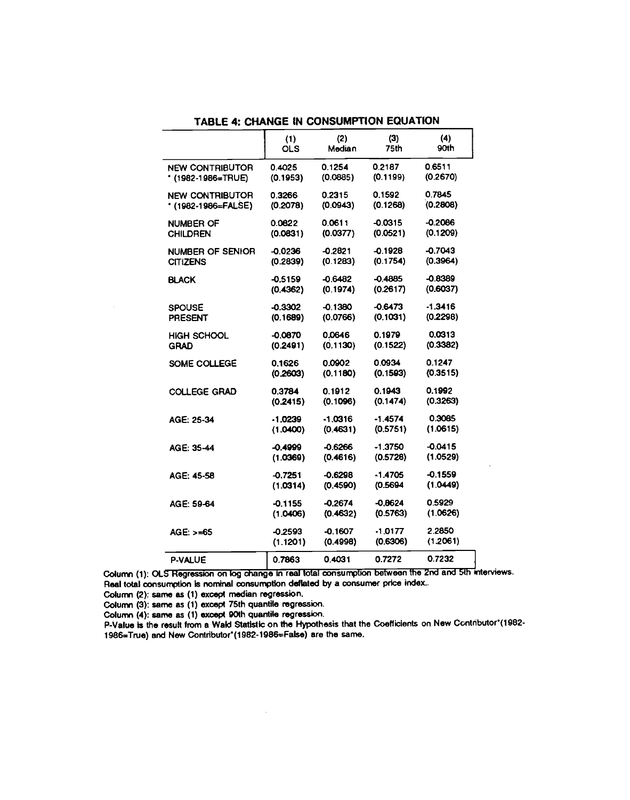|                        | (1)       | (2)       | (3)       | (4)       |
|------------------------|-----------|-----------|-----------|-----------|
|                        | OLS       | Median    | 75th      | 90th      |
| <b>NEW CONTRIBUTOR</b> | 0.4025    | 0.1254    | 0.2187    | 0.6511    |
| * (1982-1986=TRUE)     | (0.1953)  | (0.0885)  | (0.1199)  | (0.2670)  |
| <b>NEW CONTRIBUTOR</b> | 0.3266    | 0.2315    | 0.1592    | 0.7845    |
| * (1982-1986=FALSE)    | (0.2078)  | (0.0943)  | (0.1268)  | (0.2808)  |
| <b>NUMBER OF</b>       | 0.0822    | 0.0611    | -0.0315   | $-0.2086$ |
| CHILDREN               | (0.0831)  | (0.0377)  | (0.0521)  | (0.1209)  |
| NUMBER OF SENIOR       | $-0.0236$ | $-0.2821$ | -0.1928   | -0.7043   |
| <b>CITIZENS</b>        | (0.2839)  | (0.1283)  | (0.1754)  | (0.3964)  |
| BLACK                  | $-0.5159$ | -0.6482   | $-0.4885$ | $-0.8389$ |
|                        | (0.4362)  | (0.1974)  | (0.2617)  | (0.6037)  |
| <b>SPOUSE</b>          | $-0.3302$ | $-0.1380$ | -0.6473   | $-1.3416$ |
| <b>PRESENT</b>         | (0.1689)  | (0.0766)  | (0.1031)  | (0.2298)  |
| <b>HIGH SCHOOL</b>     | $-0.0870$ | 0.0646    | 0.1979    | 0.0313    |
| <b>GRAD</b>            | (0.2491)  | (0.1130)  | (0.1522)  | (0.3382)  |
| SOME COLLEGE           | 0.1626    | 0.0902    | 0.0934    | 0.1247    |
|                        | (0.2603)  | (0.1180)  | (0.1593)  | (0.3515)  |
| <b>COLLEGE GRAD</b>    | 0.3784    | 0.1912    | 0.1943    | 0.1992    |
|                        | (0.2415)  | (0.1096)  | (0.1474)  | (0.3263)  |
| AGE: 25-34             | $-1.0239$ | -1 0316   | -1.4574   | 0.3085    |
|                        | (1.0400)  | (0.4631)  | (0.5751)  | (1.0615)  |
| AGE: 35-44             | -0.4999   | $-0.6266$ | $-1.3750$ | $-0.0415$ |
|                        | (1.0369)  | (0.4616)  | (0.5728)  | (1.0529)  |
| AGE: 45-58             | $-0.7251$ | $-0.6298$ | -1 4705   | -0.1559   |
|                        | (1.0314)  | (0.4590)  | (0.5694)  | (1.0449)  |
| AGE: 59-64             | -0.1155   | -0.2674   | $-0.8624$ | 0.5929    |
|                        | (1.0406)  | (0.4632)  | (0.5763)  | (1.0626)  |
| $AGE: > = 65$          | $-0.2593$ | $-0.1607$ | $-1.0177$ | 2 2850    |
|                        | (1.1201)  | (0.4998)  | (0.6306)  | (1.2061)  |
| <b>P-VALUE</b>         | 0.7863    | 0.4031    | 0.7272    | 0.7232    |

TABLE 4: CHANGE IN CONSUMPTION EQUATION

Column (1): OLS Regression on log change in real total consumption between the 2nd and 5th interviews. Real total consumption is nominal consumption deflated by a consumer price index..

Column (2): same as (1) except median regression.

 $\bar{z}$ 

Column (3): same as (1) except 75th quantile regression.

Column (4): same as (1) except 90th quantile regression.

P-Value is the result from a Wald Statistic on the Hypothesis that the Coefficients on New Contributor (1982-1986=True) and New Contributor\*(1982-1986=False) are the same.

 $\sim$